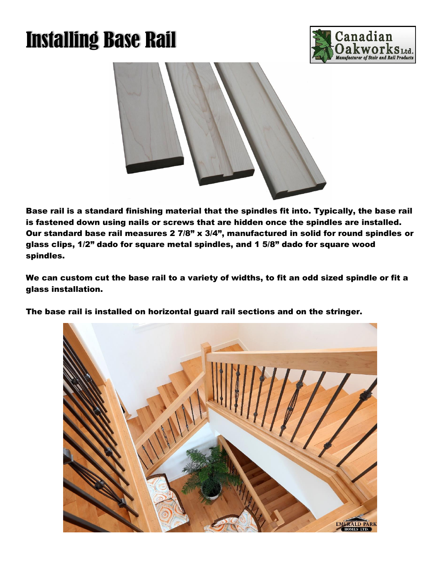## Installing Base Rail





Base rail is a standard finishing material that the spindles fit into. Typically, the base rail is fastened down using nails or screws that are hidden once the spindles are installed. Our standard base rail measures 2 7/8" x 3/4", manufactured in solid for round spindles or glass clips, 1/2" dado for square metal spindles, and 1 5/8" dado for square wood spindles.

We can custom cut the base rail to a variety of widths, to fit an odd sized spindle or fit a glass installation.

The base rail is installed on horizontal guard rail sections and on the stringer.

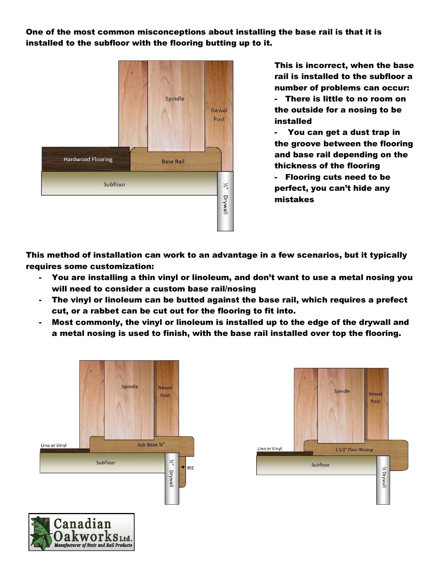One of the most common misconceptions about installing the base rail is that it is installed to the subfloor with the flooring butting up to it.



This is incorrect, when the base rail is installed to the subfloor a number of problems can occur:

- There is little to no room on the outside for a nosing to be installed

- You can get a dust trap in the groove between the flooring and base rail depending on the thickness of the flooring

- Flooring cuts need to be perfect, you can't hide any mistakes

This method of installation can work to an advantage in a few scenarios, but it typically requires some customization:

- You are installing a thin vinyl or linoleum, and don't want to use a metal nosing you will need to consider a custom base rail/nosing
- The vinyl or linoleum can be butted against the base rail, which requires a prefect cut, or a rabbet can be cut out for the flooring to fit into.
- Most commonly, the vinyl or linoleum is installed up to the edge of the drywall and a metal nosing is used to finish, with the base rail installed over top the flooring.



 $\mathbf K$ WOT $\mathbf K$ S $_{\mathtt{Ltd.}}$ Manufacturer of Stair and Rail Products

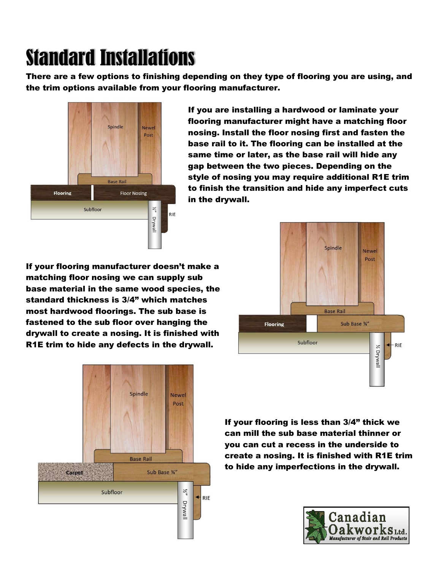## Standard Installations

There are a few options to finishing depending on they type of flooring you are using, and the trim options available from your flooring manufacturer.



If you are installing a hardwood or laminate your flooring manufacturer might have a matching floor nosing. Install the floor nosing first and fasten the base rail to it. The flooring can be installed at the same time or later, as the base rail will hide any gap between the two pieces. Depending on the style of nosing you may require additional R1E trim to finish the transition and hide any imperfect cuts in the drywall.

If your flooring manufacturer doesn't make a matching floor nosing we can supply sub base material in the same wood species, the standard thickness is 3/4" which matches most hardwood floorings. The sub base is fastened to the sub floor over hanging the drywall to create a nosing. It is finished with R1E trim to hide any defects in the drywall.





If your flooring is less than 3/4" thick we can mill the sub base material thinner or you can cut a recess in the underside to create a nosing. It is finished with R1E trim to hide any imperfections in the drywall.

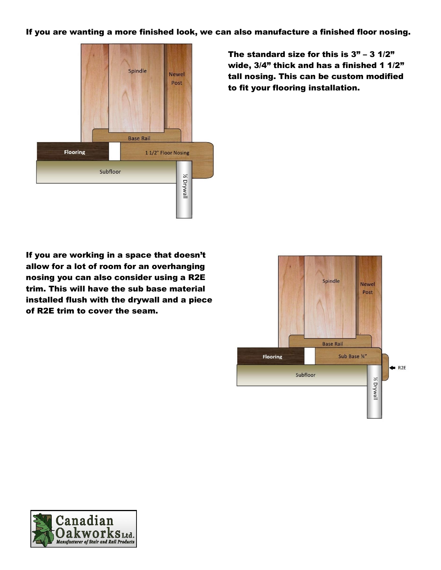If you are wanting a more finished look, we can also manufacture a finished floor nosing.



The standard size for this is  $3" - 3$   $1/2"$ wide,  $3/4$ " thick and has a finished 1 1/2" tall nosing. This can be custom modified to fit your flooring installation.

If you are working in a space that doesn't allow for a lot of room for an overhanging nosing you can also consider using a R2E trim. This will have the sub base material installed flush with the drywall and a piece of R2E trim to cover the seam.